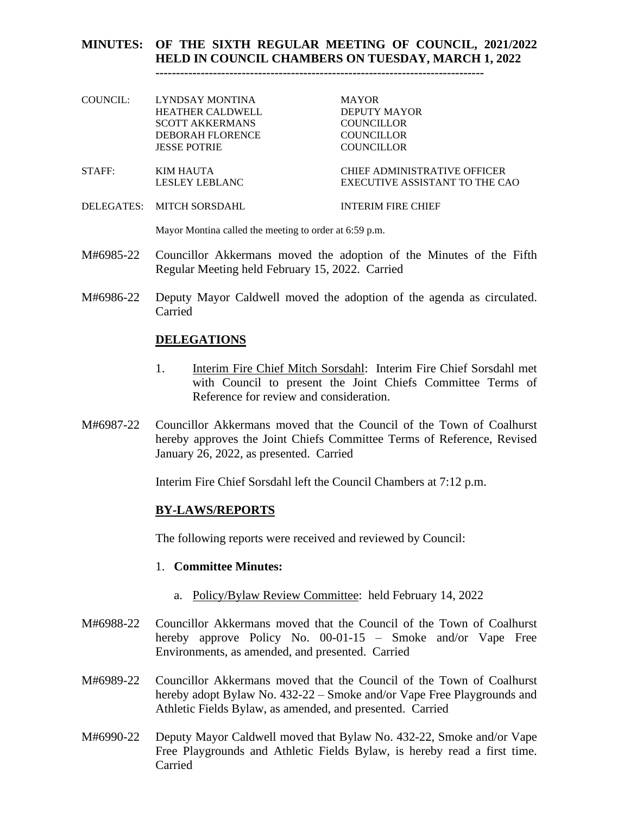## **MINUTES: OF THE SIXTH REGULAR MEETING OF COUNCIL, 2021/2022 HELD IN COUNCIL CHAMBERS ON TUESDAY, MARCH 1, 2022**

**--------------------------------------------------------------------------------**

- COUNCIL: LYNDSAY MONTINA MAYOR HEATHER CALDWELL DEPUTY MAYOR SCOTT AKKERMANS COUNCILLOR DEBORAH FLORENCE COUNCILLOR JESSE POTRIE COUNCILLOR STAFF: KIM HAUTA CHIEF ADMINISTRATIVE OFFICER LESLEY LEBLANC EXECUTIVE ASSISTANT TO THE CAO
- DELEGATES: MITCH SORSDAHL INTERIM FIRE CHIEF

Mayor Montina called the meeting to order at 6:59 p.m.

- M#6985-22 Councillor Akkermans moved the adoption of the Minutes of the Fifth Regular Meeting held February 15, 2022. Carried
- M#6986-22 Deputy Mayor Caldwell moved the adoption of the agenda as circulated. Carried

#### **DELEGATIONS**

- 1. Interim Fire Chief Mitch Sorsdahl: Interim Fire Chief Sorsdahl met with Council to present the Joint Chiefs Committee Terms of Reference for review and consideration.
- M#6987-22 Councillor Akkermans moved that the Council of the Town of Coalhurst hereby approves the Joint Chiefs Committee Terms of Reference, Revised January 26, 2022, as presented. Carried

Interim Fire Chief Sorsdahl left the Council Chambers at 7:12 p.m.

#### **BY-LAWS/REPORTS**

The following reports were received and reviewed by Council:

#### 1. **Committee Minutes:**

- a. Policy/Bylaw Review Committee: held February 14, 2022
- M#6988-22 Councillor Akkermans moved that the Council of the Town of Coalhurst hereby approve Policy No. 00-01-15 – Smoke and/or Vape Free Environments, as amended, and presented. Carried
- M#6989-22 Councillor Akkermans moved that the Council of the Town of Coalhurst hereby adopt Bylaw No. 432-22 – Smoke and/or Vape Free Playgrounds and Athletic Fields Bylaw, as amended, and presented. Carried
- M#6990-22 Deputy Mayor Caldwell moved that Bylaw No. 432-22, Smoke and/or Vape Free Playgrounds and Athletic Fields Bylaw, is hereby read a first time. Carried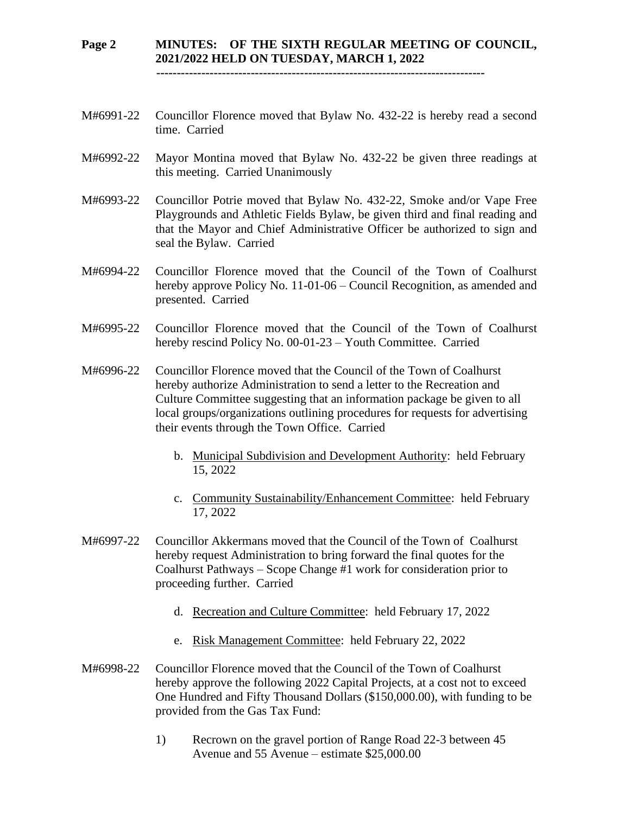#### **Page 2 MINUTES: OF THE SIXTH REGULAR MEETING OF COUNCIL, 2021/2022 HELD ON TUESDAY, MARCH 1, 2022 --------------------------------------------------------------------------------**

- M#6991-22 Councillor Florence moved that Bylaw No. 432-22 is hereby read a second time. Carried
- M#6992-22 Mayor Montina moved that Bylaw No. 432-22 be given three readings at this meeting. Carried Unanimously
- M#6993-22 Councillor Potrie moved that Bylaw No. 432-22, Smoke and/or Vape Free Playgrounds and Athletic Fields Bylaw, be given third and final reading and that the Mayor and Chief Administrative Officer be authorized to sign and seal the Bylaw. Carried
- M#6994-22 Councillor Florence moved that the Council of the Town of Coalhurst hereby approve Policy No. 11-01-06 – Council Recognition, as amended and presented. Carried
- M#6995-22 Councillor Florence moved that the Council of the Town of Coalhurst hereby rescind Policy No. 00-01-23 – Youth Committee. Carried
- M#6996-22 Councillor Florence moved that the Council of the Town of Coalhurst hereby authorize Administration to send a letter to the Recreation and Culture Committee suggesting that an information package be given to all local groups/organizations outlining procedures for requests for advertising their events through the Town Office. Carried
	- b. Municipal Subdivision and Development Authority: held February 15, 2022
	- c. Community Sustainability/Enhancement Committee: held February 17, 2022
- M#6997-22 Councillor Akkermans moved that the Council of the Town of Coalhurst hereby request Administration to bring forward the final quotes for the Coalhurst Pathways – Scope Change #1 work for consideration prior to proceeding further. Carried
	- d. Recreation and Culture Committee: held February 17, 2022
	- e. Risk Management Committee: held February 22, 2022
- M#6998-22 Councillor Florence moved that the Council of the Town of Coalhurst hereby approve the following 2022 Capital Projects, at a cost not to exceed One Hundred and Fifty Thousand Dollars (\$150,000.00), with funding to be provided from the Gas Tax Fund:
	- 1) Recrown on the gravel portion of Range Road 22-3 between 45 Avenue and 55 Avenue – estimate \$25,000.00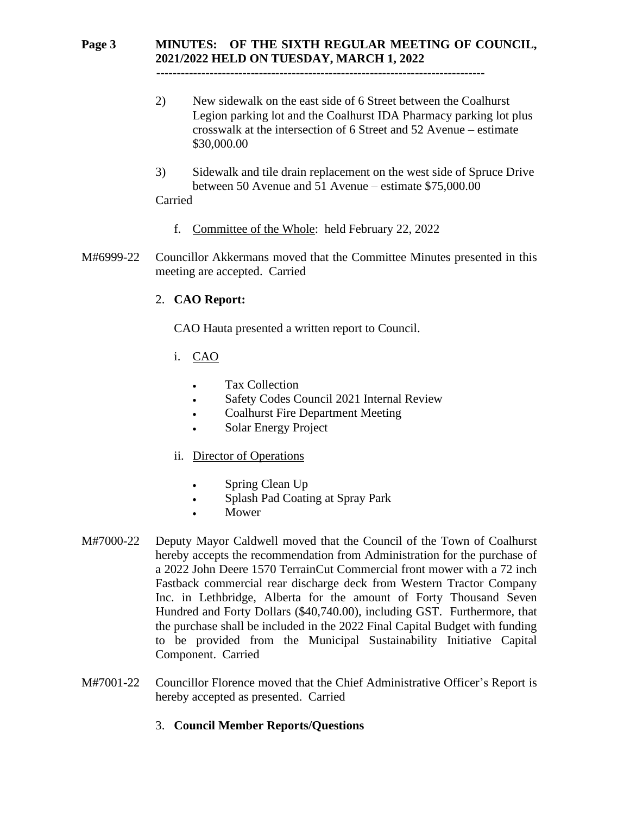## **Page 3 MINUTES: OF THE SIXTH REGULAR MEETING OF COUNCIL, 2021/2022 HELD ON TUESDAY, MARCH 1, 2022**

 **--------------------------------------------------------------------------------**

- 2) New sidewalk on the east side of 6 Street between the Coalhurst Legion parking lot and the Coalhurst IDA Pharmacy parking lot plus crosswalk at the intersection of 6 Street and 52 Avenue – estimate \$30,000.00
- 3) Sidewalk and tile drain replacement on the west side of Spruce Drive between 50 Avenue and 51 Avenue – estimate \$75,000.00

## Carried

- f. Committee of the Whole: held February 22, 2022
- M#6999-22 Councillor Akkermans moved that the Committee Minutes presented in this meeting are accepted. Carried

## 2. **CAO Report:**

CAO Hauta presented a written report to Council.

- i. CAO
	- Tax Collection
	- Safety Codes Council 2021 Internal Review
	- Coalhurst Fire Department Meeting
	- Solar Energy Project

## ii. Director of Operations

- Spring Clean Up
- Splash Pad Coating at Spray Park
- **Mower**
- M#7000-22 Deputy Mayor Caldwell moved that the Council of the Town of Coalhurst hereby accepts the recommendation from Administration for the purchase of a 2022 John Deere 1570 TerrainCut Commercial front mower with a 72 inch Fastback commercial rear discharge deck from Western Tractor Company Inc. in Lethbridge, Alberta for the amount of Forty Thousand Seven Hundred and Forty Dollars (\$40,740.00), including GST. Furthermore, that the purchase shall be included in the 2022 Final Capital Budget with funding to be provided from the Municipal Sustainability Initiative Capital Component. Carried
- M#7001-22 Councillor Florence moved that the Chief Administrative Officer's Report is hereby accepted as presented. Carried

## 3. **Council Member Reports/Questions**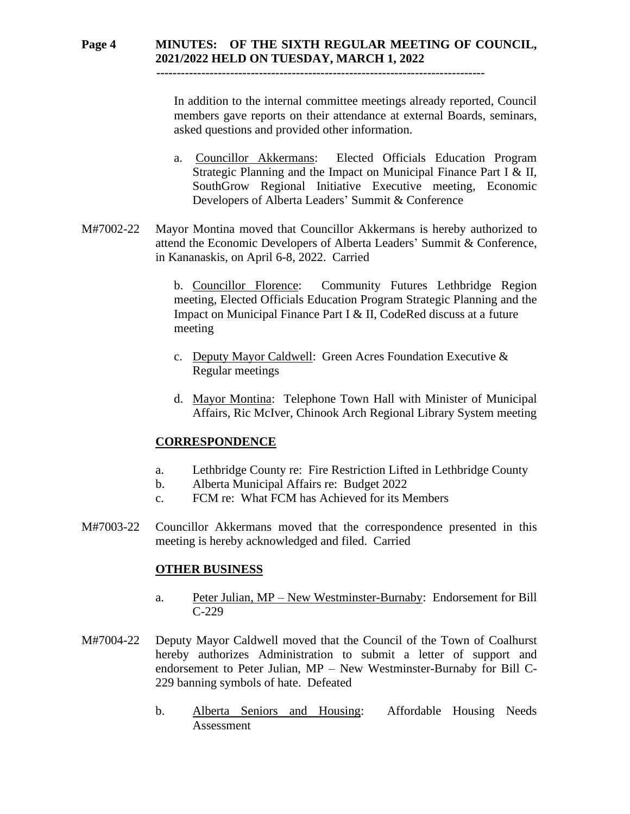# **Page 4 MINUTES: OF THE SIXTH REGULAR MEETING OF COUNCIL, 2021/2022 HELD ON TUESDAY, MARCH 1, 2022**

 **--------------------------------------------------------------------------------**

In addition to the internal committee meetings already reported, Council members gave reports on their attendance at external Boards, seminars, asked questions and provided other information.

- a. Councillor Akkermans: Elected Officials Education Program Strategic Planning and the Impact on Municipal Finance Part I & II, SouthGrow Regional Initiative Executive meeting, Economic Developers of Alberta Leaders' Summit & Conference
- M#7002-22 Mayor Montina moved that Councillor Akkermans is hereby authorized to attend the Economic Developers of Alberta Leaders' Summit & Conference, in Kananaskis, on April 6-8, 2022. Carried

b. Councillor Florence: Community Futures Lethbridge Region meeting, Elected Officials Education Program Strategic Planning and the Impact on Municipal Finance Part I & II, CodeRed discuss at a future meeting

- c. Deputy Mayor Caldwell: Green Acres Foundation Executive & Regular meetings
- d. Mayor Montina: Telephone Town Hall with Minister of Municipal Affairs, Ric McIver, Chinook Arch Regional Library System meeting

#### **CORRESPONDENCE**

- a. Lethbridge County re: Fire Restriction Lifted in Lethbridge County
- b. Alberta Municipal Affairs re: Budget 2022
- c. FCM re: What FCM has Achieved for its Members
- M#7003-22 Councillor Akkermans moved that the correspondence presented in this meeting is hereby acknowledged and filed. Carried

#### **OTHER BUSINESS**

- a. Peter Julian, MP New Westminster-Burnaby: Endorsement for Bill C-229
- M#7004-22 Deputy Mayor Caldwell moved that the Council of the Town of Coalhurst hereby authorizes Administration to submit a letter of support and endorsement to Peter Julian, MP – New Westminster-Burnaby for Bill C-229 banning symbols of hate. Defeated
	- b. Alberta Seniors and Housing: Affordable Housing Needs Assessment